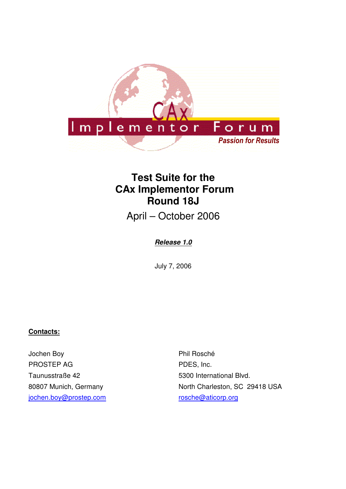

# **Test Suite for the CAx Implementor Forum Round 18J**

April – October 2006

# **Release 1.0**

July 7, 2006

### **Contacts:**

Jochen Boy PROSTEP AG Taunusstraße 42 80807 Munich, Germany jochen.boy@prostep.com

Phil Rosché PDES, Inc. 5300 International Blvd. North Charleston, SC 29418 USA rosche@aticorp.org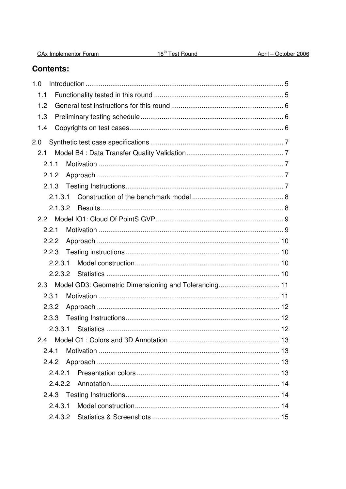| <b>CAx Implementor Forum</b> |  |
|------------------------------|--|
|                              |  |

# **Contents:**

| 1.0                                                         |  |
|-------------------------------------------------------------|--|
| 1.1                                                         |  |
| 1.2                                                         |  |
| 1.3                                                         |  |
| 1.4                                                         |  |
| 2.0                                                         |  |
| 2.1                                                         |  |
| 2.1.1                                                       |  |
| 2.1.2                                                       |  |
|                                                             |  |
| 2.1.3.1                                                     |  |
| 2.1.3.2                                                     |  |
|                                                             |  |
| 2.2.1                                                       |  |
| 2.2.2                                                       |  |
| 2.2.3                                                       |  |
| 2.2.3.1                                                     |  |
|                                                             |  |
| Model GD3: Geometric Dimensioning and Tolerancing 11<br>2.3 |  |
| 2.3.1                                                       |  |
| 2.3.2                                                       |  |
| 2.3.3                                                       |  |
| 2.3.3.1                                                     |  |
|                                                             |  |
| 2.4.1                                                       |  |
| 2.4.2                                                       |  |
| 2421                                                        |  |
| 2.4.2.2                                                     |  |
|                                                             |  |
| 2.4.3.1                                                     |  |
|                                                             |  |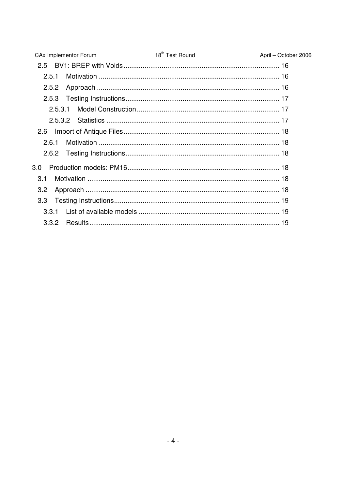| CAx Implementor Forum 18 <sup>th</sup> Test Round April - October 2006 |
|------------------------------------------------------------------------|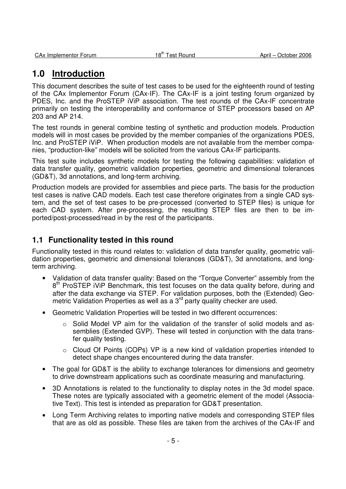# **1.0 Introduction**

This document describes the suite of test cases to be used for the eighteenth round of testing of the CAx Implementor Forum (CAx-IF). The CAx-IF is a joint testing forum organized by PDES, Inc. and the ProSTEP iViP association. The test rounds of the CAx-IF concentrate primarily on testing the interoperability and conformance of STEP processors based on AP 203 and AP 214.

The test rounds in general combine testing of synthetic and production models. Production models will in most cases be provided by the member companies of the organizations PDES, Inc. and ProSTEP iViP. When production models are not available from the member companies, "production-like" models will be solicited from the various CAx-IF participants.

This test suite includes synthetic models for testing the following capabilities: validation of data transfer quality, geometric validation properties, geometric and dimensional tolerances (GD&T), 3d annotations, and long-term archiving.

Production models are provided for assemblies and piece parts. The basis for the production test cases is native CAD models. Each test case therefore originates from a single CAD system, and the set of test cases to be pre-processed (converted to STEP files) is unique for each CAD system. After pre-processing, the resulting STEP files are then to be imported/post-processed/read in by the rest of the participants.

# **1.1 Functionality tested in this round**

Functionality tested in this round relates to: validation of data transfer quality, geometric validation properties, geometric and dimensional tolerances (GD&T), 3d annotations, and longterm archiving.

- Validation of data transfer quality: Based on the "Torque Converter" assembly from the 8<sup>th</sup> ProSTEP iViP Benchmark, this test focuses on the data quality before, during and after the data exchange via STEP. For validation purposes, both the (Extended) Geometric Validation Properties as well as a 3<sup>rd</sup> party quality checker are used.
- Geometric Validation Properties will be tested in two different occurrences:
	- Solid Model VP aim for the validation of the transfer of solid models and assemblies (Extended GVP). These will tested in conjunction with the data transfer quality testing.
	- $\circ$  Cloud Of Points (COPs) VP is a new kind of validation properties intended to detect shape changes encountered during the data transfer.
- The goal for GD&T is the ability to exchange tolerances for dimensions and geometry to drive downstream applications such as coordinate measuring and manufacturing.
- 3D Annotations is related to the functionality to display notes in the 3d model space. These notes are typically associated with a geometric element of the model (Associative Text). This test is intended as preparation for GD&T presentation.
- Long Term Archiving relates to importing native models and corresponding STEP files that are as old as possible. These files are taken from the archives of the CAx-IF and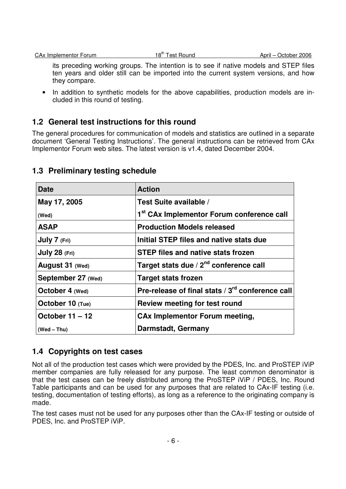its preceding working groups. The intention is to see if native models and STEP files ten years and older still can be imported into the current system versions, and how they compare.

• In addition to synthetic models for the above capabilities, production models are included in this round of testing.

# **1.2 General test instructions for this round**

The general procedures for communication of models and statistics are outlined in a separate document 'General Testing Instructions'. The general instructions can be retrieved from CAx Implementor Forum web sites. The latest version is v1.4, dated December 2004.

| Date               | <b>Action</b>                                         |
|--------------------|-------------------------------------------------------|
| May 17, 2005       | Test Suite available /                                |
| (Wed)              | 1 <sup>st</sup> CAx Implementor Forum conference call |
| <b>ASAP</b>        | <b>Production Models released</b>                     |
| July 7 (Fri)       | Initial STEP files and native stats due               |
| July 28 (Fri)      | <b>STEP files and native stats frozen</b>             |
| August 31 (Wed)    | Target stats due / 2 <sup>nd</sup> conference call    |
| September 27 (Wed) | <b>Target stats frozen</b>                            |
| October 4 (Wed)    | Pre-release of final stats / 3rd conference call      |
| October 10 (Tue)   | Review meeting for test round                         |
| October $11 - 12$  | <b>CAx Implementor Forum meeting,</b>                 |
| $(Wed - Thu)$      | <b>Darmstadt, Germany</b>                             |

# **1.3 Preliminary testing schedule**

# **1.4 Copyrights on test cases**

Not all of the production test cases which were provided by the PDES, Inc. and ProSTEP iViP member companies are fully released for any purpose. The least common denominator is that the test cases can be freely distributed among the ProSTEP iViP / PDES, Inc. Round Table participants and can be used for any purposes that are related to CAx-IF testing (i.e. testing, documentation of testing efforts), as long as a reference to the originating company is made.

The test cases must not be used for any purposes other than the CAx-IF testing or outside of PDES, Inc. and ProSTEP iViP.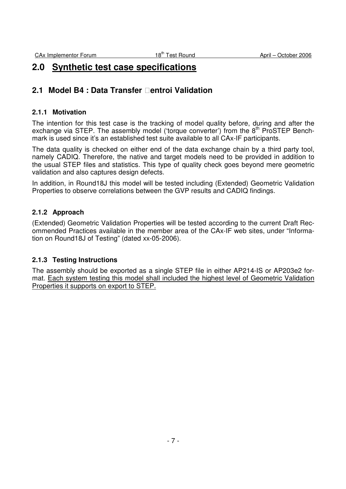# **2.0 Synthetic test case specifications**

# **2.1 Model B4 : Data Transfer entroi Validation**

### **2.1.1 Motivation**

The intention for this test case is the tracking of model quality before, during and after the exchange via STEP. The assembly model ('torque converter') from the 8<sup>th</sup> ProSTEP Benchmark is used since it's an established test suite available to all CAx-IF participants.

The data quality is checked on either end of the data exchange chain by a third party tool, namely CADIQ. Therefore, the native and target models need to be provided in addition to the usual STEP files and statistics. This type of quality check goes beyond mere geometric validation and also captures design defects.

In addition, in Round18J this model will be tested including (Extended) Geometric Validation Properties to observe correlations between the GVP results and CADIQ findings.

### **2.1.2 Approach**

(Extended) Geometric Validation Properties will be tested according to the current Draft Recommended Practices available in the member area of the CAx-IF web sites, under "Information on Round18J of Testing" (dated xx-05-2006).

### **2.1.3 Testing Instructions**

The assembly should be exported as a single STEP file in either AP214-IS or AP203e2 format. Each system testing this model shall included the highest level of Geometric Validation Properties it supports on export to STEP.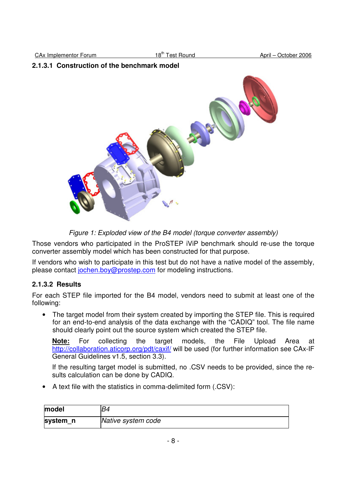CAx Implementor Forum 18<sup>th</sup> Test Round April – October 2006

### **2.1.3.1 Construction of the benchmark model**



Figure 1: Exploded view of the B4 model (torque converter assembly)

Those vendors who participated in the ProSTEP iViP benchmark should re-use the torque converter assembly model which has been constructed for that purpose.

If vendors who wish to participate in this test but do not have a native model of the assembly, please contact jochen.boy@prostep.com for modeling instructions.

### **2.1.3.2 Results**

For each STEP file imported for the B4 model, vendors need to submit at least one of the following:

• The target model from their system created by importing the STEP file. This is required for an end-to-end analysis of the data exchange with the "CADIQ" tool. The file name should clearly point out the source system which created the STEP file.

**Note:** For collecting the target models, the File Upload Area at http://collaboration.aticorp.org/pdt/caxif/ will be used (for further information see CAx-IF General Guidelines v1.5, section 3.3).

If the resulting target model is submitted, no .CSV needs to be provided, since the results calculation can be done by CADIQ.

• A text file with the statistics in comma-delimited form (.CSV):

| model    | B4                 |
|----------|--------------------|
| system_n | Native system code |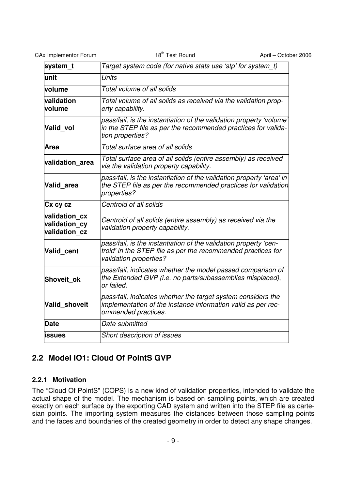| CA <sub>x</sub> Implementor Forum |  |
|-----------------------------------|--|
|                                   |  |

| system_t                                        | Target system code (for native stats use 'stp' for system t)                                                                                               |
|-------------------------------------------------|------------------------------------------------------------------------------------------------------------------------------------------------------------|
| lunit                                           | <b>Units</b>                                                                                                                                               |
| volume                                          | Total volume of all solids                                                                                                                                 |
| validation<br>volume                            | Total volume of all solids as received via the validation prop-<br>erty capability.                                                                        |
| Valid vol                                       | pass/fail, is the instantiation of the validation property 'volume'<br>in the STEP file as per the recommended practices for valida-<br>tion properties?   |
| Area                                            | Total surface area of all solids                                                                                                                           |
| validation area                                 | Total surface area of all solids (entire assembly) as received<br>via the validation property capability.                                                  |
| Valid area                                      | pass/fail, is the instantiation of the validation property 'area' in<br>the STEP file as per the recommended practices for validation<br>properties?       |
| Cx cy cz                                        | Centroid of all solids                                                                                                                                     |
| validation cx<br>validation cy<br>validation cz | Centroid of all solids (entire assembly) as received via the<br>validation property capability.                                                            |
| Valid_cent                                      | pass/fail, is the instantiation of the validation property 'cen-<br>troid' in the STEP file as per the recommended practices for<br>validation properties? |
| Shoveit ok                                      | pass/fail, indicates whether the model passed comparison of<br>the Extended GVP (i.e. no parts/subassemblies misplaced),<br>or failed.                     |
| Valid shoveit                                   | pass/fail, indicates whether the target system considers the<br>implementation of the instance information valid as per rec-<br>ommended practices.        |
| Date                                            | Date submitted                                                                                                                                             |
| issues                                          | Short description of issues                                                                                                                                |

# **2.2 Model IO1: Cloud Of PointS GVP**

# **2.2.1 Motivation**

The "Cloud Of PointS" (COPS) is a new kind of validation properties, intended to validate the actual shape of the model. The mechanism is based on sampling points, which are created exactly on each surface by the exporting CAD system and written into the STEP file as cartesian points. The importing system measures the distances between those sampling points and the faces and boundaries of the created geometry in order to detect any shape changes.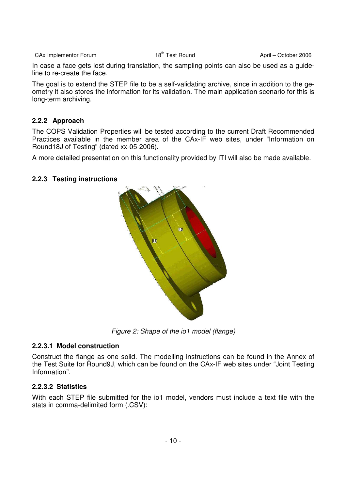CAx Implementor Forum 18<sup>th</sup> Test Round April – October 2006

In case a face gets lost during translation, the sampling points can also be used as a guideline to re-create the face.

The goal is to extend the STEP file to be a self-validating archive, since in addition to the geometry it also stores the information for its validation. The main application scenario for this is long-term archiving.

### **2.2.2 Approach**

The COPS Validation Properties will be tested according to the current Draft Recommended Practices available in the member area of the CAx-IF web sites, under "Information on Round18J of Testing" (dated xx-05-2006).

A more detailed presentation on this functionality provided by ITI will also be made available.

### **2.2.3 Testing instructions**



Figure 2: Shape of the io1 model (flange)

### **2.2.3.1 Model construction**

Construct the flange as one solid. The modelling instructions can be found in the Annex of the Test Suite for Round9J, which can be found on the CAx-IF web sites under "Joint Testing Information".

### **2.2.3.2 Statistics**

With each STEP file submitted for the io1 model, vendors must include a text file with the stats in comma-delimited form (.CSV):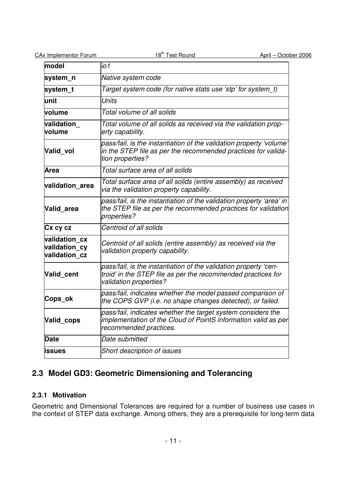| <b>CAx Implementor Forum</b>                    | 18 <sup>th</sup> Test Round<br>April - October 2006                                                                                                        |  |  |  |
|-------------------------------------------------|------------------------------------------------------------------------------------------------------------------------------------------------------------|--|--|--|
| model                                           | io 1                                                                                                                                                       |  |  |  |
| system_n                                        | Native system code                                                                                                                                         |  |  |  |
| system_t                                        | Target system code (for native stats use 'stp' for system t)                                                                                               |  |  |  |
| lunit                                           | <b>Units</b>                                                                                                                                               |  |  |  |
| volume                                          | Total volume of all solids                                                                                                                                 |  |  |  |
| validation<br>volume                            | Total volume of all solids as received via the validation prop-<br>erty capability.                                                                        |  |  |  |
| Valid_vol                                       | pass/fail, is the instantiation of the validation property 'volume'<br>in the STEP file as per the recommended practices for valida-<br>tion properties?   |  |  |  |
| Area                                            | Total surface area of all solids                                                                                                                           |  |  |  |
| validation area                                 | Total surface area of all solids (entire assembly) as received<br>via the validation property capability.                                                  |  |  |  |
| Valid area                                      | pass/fail, is the instantiation of the validation property 'area' in<br>the STEP file as per the recommended practices for validation<br>properties?       |  |  |  |
| Cx cy cz                                        | Centroid of all solids                                                                                                                                     |  |  |  |
| validation cx<br>validation_cy<br>validation cz | Centroid of all solids (entire assembly) as received via the<br>validation property capability.                                                            |  |  |  |
| Valid_cent                                      | pass/fail, is the instantiation of the validation property 'cen-<br>troid' in the STEP file as per the recommended practices for<br>validation properties? |  |  |  |
| Cops_ok                                         | pass/fail, indicates whether the model passed comparison of<br>the COPS GVP (i.e. no shape changes detected), or failed.                                   |  |  |  |
| Valid_cops                                      | pass/fail, indicates whether the target system considers the<br>implementation of the Cloud of PointS information valid as per<br>recommended practices.   |  |  |  |
| <b>Date</b>                                     | Date submitted                                                                                                                                             |  |  |  |
| issues                                          | Short description of issues                                                                                                                                |  |  |  |
|                                                 |                                                                                                                                                            |  |  |  |

# **2.3 Model GD3: Geometric Dimensioning and Tolerancing**

# **2.3.1 Motivation**

Geometric and Dimensional Tolerances are required for a number of business use cases in the context of STEP data exchange. Among others, they are a prerequisite for long-term data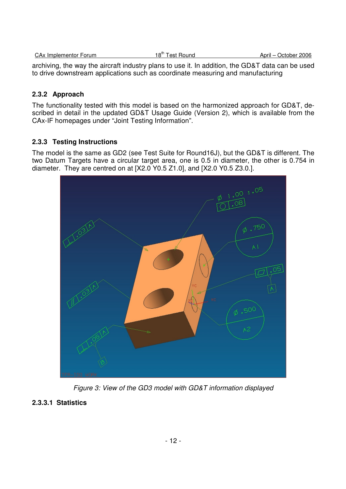| CAx Implementor Forum | 18"' Test Round | April –<br>October 2006 |
|-----------------------|-----------------|-------------------------|
|                       |                 |                         |

archiving, the way the aircraft industry plans to use it. In addition, the GD&T data can be used to drive downstream applications such as coordinate measuring and manufacturing

# **2.3.2 Approach**

The functionality tested with this model is based on the harmonized approach for GD&T, described in detail in the updated GD&T Usage Guide (Version 2), which is available from the CAx-IF homepages under "Joint Testing Information".

# **2.3.3 Testing Instructions**

The model is the same as GD2 (see Test Suite for Round16J), but the GD&T is different. The two Datum Targets have a circular target area, one is 0.5 in diameter, the other is 0.754 in diameter. They are centred on at [X2.0 Y0.5 Z1.0], and [X2.0 Y0.5 Z3.0.].



Figure 3: View of the GD3 model with GD&T information displayed

# **2.3.3.1 Statistics**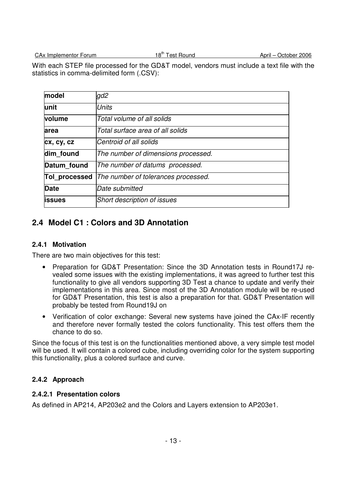CAx Implementor Forum 18<sup>th</sup> Test Round April – October 2006

With each STEP file processed for the GD&T model, vendors must include a text file with the statistics in comma-delimited form (.CSV):

| model          | gd2                                 |
|----------------|-------------------------------------|
| lunit          | <b>Units</b>                        |
| volume         | Total volume of all solids          |
| area           | Total surface area of all solids    |
| cx, cy, cz     | Centroid of all solids              |
| dim found      | The number of dimensions processed. |
| Datum found    | The number of datums processed.     |
| Tol processed  | The number of tolerances processed. |
| Date           | Date submitted                      |
| <b>lissues</b> | Short description of issues         |

# **2.4 Model C1 : Colors and 3D Annotation**

### **2.4.1 Motivation**

There are two main objectives for this test:

- Preparation for GD&T Presentation: Since the 3D Annotation tests in Round17J revealed some issues with the existing implementations, it was agreed to further test this functionality to give all vendors supporting 3D Test a chance to update and verify their implementations in this area. Since most of the 3D Annotation module will be re-used for GD&T Presentation, this test is also a preparation for that. GD&T Presentation will probably be tested from Round19J on
- Verification of color exchange: Several new systems have joined the CAx-IF recently and therefore never formally tested the colors functionality. This test offers them the chance to do so.

Since the focus of this test is on the functionalities mentioned above, a very simple test model will be used. It will contain a colored cube, including overriding color for the system supporting this functionality, plus a colored surface and curve.

# **2.4.2 Approach**

### **2.4.2.1 Presentation colors**

As defined in AP214, AP203e2 and the Colors and Layers extension to AP203e1.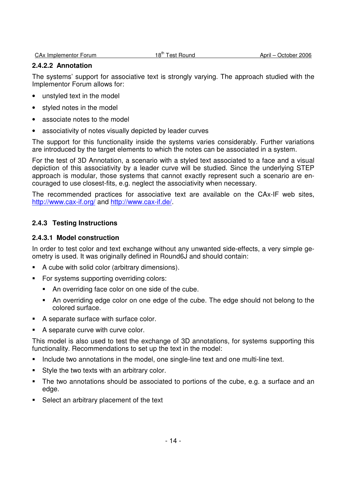#### **2.4.2.2 Annotation**

The systems' support for associative text is strongly varying. The approach studied with the Implementor Forum allows for:

- unstyled text in the model
- styled notes in the model
- associate notes to the model
- associativity of notes visually depicted by leader curves

The support for this functionality inside the systems varies considerably. Further variations are introduced by the target elements to which the notes can be associated in a system.

For the test of 3D Annotation, a scenario with a styled text associated to a face and a visual depiction of this associativity by a leader curve will be studied. Since the underlying STEP approach is modular, those systems that cannot exactly represent such a scenario are encouraged to use closest-fits, e.g. neglect the associativity when necessary.

The recommended practices for associative text are available on the CAx-IF web sites, http://www.cax-if.org/ and http://www.cax-if.de/.

### **2.4.3 Testing Instructions**

#### **2.4.3.1 Model construction**

In order to test color and text exchange without any unwanted side-effects, a very simple geometry is used. It was originally defined in Round6J and should contain:

- A cube with solid color (arbitrary dimensions).
- For systems supporting overriding colors:
	- An overriding face color on one side of the cube.
	- An overriding edge color on one edge of the cube. The edge should not belong to the colored surface.
- A separate surface with surface color.
- A separate curve with curve color.

This model is also used to test the exchange of 3D annotations, for systems supporting this functionality. Recommendations to set up the text in the model:

- Include two annotations in the model, one single-line text and one multi-line text.
- **Style the two texts with an arbitrary color.**
- The two annotations should be associated to portions of the cube, e.g. a surface and an edge.
- Select an arbitrary placement of the text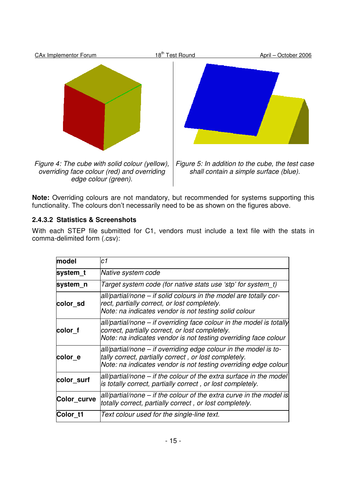

**Note:** Overriding colours are not mandatory, but recommended for systems supporting this functionality. The colours don't necessarily need to be as shown on the figures above.

# **2.4.3.2 Statistics & Screenshots**

With each STEP file submitted for C1, vendors must include a text file with the stats in comma-delimited form (.csv):

| model       | c1                                                                                                                                                                                           |
|-------------|----------------------------------------------------------------------------------------------------------------------------------------------------------------------------------------------|
| system t    | Native system code                                                                                                                                                                           |
| system_n    | Target system code (for native stats use 'stp' for system t)                                                                                                                                 |
| color sd    | all/partial/none – if solid colours in the model are totally cor-<br>rect, partially correct, or lost completely.<br>Note: na indicates vendor is not testing solid colour                   |
| color f     | all/partial/none – if overriding face colour in the model is totally<br>correct, partially correct, or lost completely.<br>Note: na indicates vendor is not testing overriding face colour   |
| color e     | all/partial/none – if overriding edge colour in the model is to-<br>tally correct, partially correct, or lost completely.<br>Note: na indicates vendor is not testing overriding edge colour |
| color_surf  | all/partial/none – if the colour of the extra surface in the model<br>is totally correct, partially correct, or lost completely.                                                             |
| Color_curve | all/partial/none – if the colour of the extra curve in the model is<br>totally correct, partially correct, or lost completely.                                                               |
| Color t1    | Text colour used for the single-line text.                                                                                                                                                   |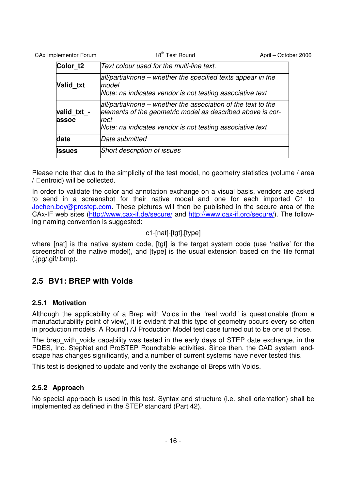| <b>CAx Implementor Forum</b> | 18 <sup>th</sup> Test Round                                                                                                                                                                      | April - October 2006 |
|------------------------------|--------------------------------------------------------------------------------------------------------------------------------------------------------------------------------------------------|----------------------|
| Color <sub>t2</sub>          | Text colour used for the multi-line text.                                                                                                                                                        |                      |
| Valid txt                    | all/partial/none – whether the specified texts appear in the<br>lmodel<br>Note: na indicates vendor is not testing associative text                                                              |                      |
| valid_txt -<br>assoc         | all/partial/none – whether the association of the text to the<br>elements of the geometric model as described above is cor-<br>rect<br>Note: na indicates vendor is not testing associative text |                      |
| date                         | Date submitted                                                                                                                                                                                   |                      |
| <b>lissues</b>               | Short description of issues                                                                                                                                                                      |                      |

Please note that due to the simplicity of the test model, no geometry statistics (volume / area entroid) will be collected.

In order to validate the color and annotation exchange on a visual basis, vendors are asked to send in a screenshot for their native model and one for each imported C1 to Jochen.boy@prostep.com. These pictures will then be published in the secure area of the CAx-IF web sites (http://www.cax-if.de/secure/ and http://www.cax-if.org/secure/). The following naming convention is suggested:

# c1-[nat]-[tgt].[type]

where [nat] is the native system code, [tgt] is the target system code (use 'native' for the screenshot of the native model), and [type] is the usual extension based on the file format (.jpg/.gif/.bmp).

# **2.5 BV1: BREP with Voids**

# **2.5.1 Motivation**

Although the applicability of a Brep with Voids in the "real world" is questionable (from a manufacturability point of view), it is evident that this type of geometry occurs every so often in production models. A Round17J Production Model test case turned out to be one of those.

The brep with voids capability was tested in the early days of STEP date exchange, in the PDES, Inc. StepNet and ProSTEP Roundtable activities. Since then, the CAD system landscape has changes significantly, and a number of current systems have never tested this.

This test is designed to update and verify the exchange of Breps with Voids.

# **2.5.2 Approach**

No special approach is used in this test. Syntax and structure (i.e. shell orientation) shall be implemented as defined in the STEP standard (Part 42).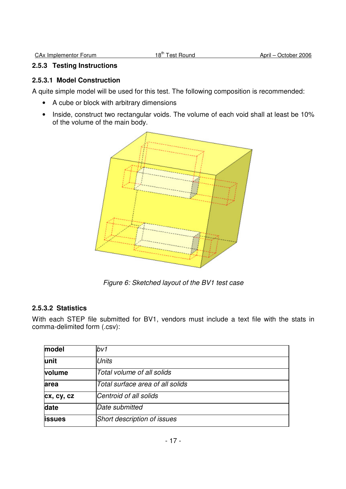#### **2.5.3 Testing Instructions**

### **2.5.3.1 Model Construction**

A quite simple model will be used for this test. The following composition is recommended:

- A cube or block with arbitrary dimensions
- Inside, construct two rectangular voids. The volume of each void shall at least be 10% of the volume of the main body.



Figure 6: Sketched layout of the BV1 test case

### **2.5.3.2 Statistics**

With each STEP file submitted for BV1, vendors must include a text file with the stats in comma-delimited form (.csv):

| model          | bv1                              |
|----------------|----------------------------------|
| lunit          | <b>Units</b>                     |
| volume         | Total volume of all solids       |
| area           | Total surface area of all solids |
| cx, cy, cz     | Centroid of all solids           |
| date           | Date submitted                   |
| <b>lissues</b> | Short description of issues      |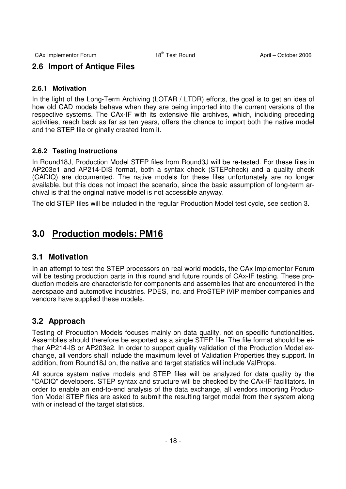# **2.6 Import of Antique Files**

#### **2.6.1 Motivation**

In the light of the Long-Term Archiving (LOTAR / LTDR) efforts, the goal is to get an idea of how old CAD models behave when they are being imported into the current versions of the respective systems. The CAx-IF with its extensive file archives, which, including preceding activities, reach back as far as ten years, offers the chance to import both the native model and the STEP file originally created from it.

### **2.6.2 Testing Instructions**

In Round18J, Production Model STEP files from Round3J will be re-tested. For these files in AP203e1 and AP214-DIS format, both a syntax check (STEPcheck) and a quality check (CADIQ) are documented. The native models for these files unfortunately are no longer available, but this does not impact the scenario, since the basic assumption of long-term archival is that the original native model is not accessible anyway.

The old STEP files will be included in the regular Production Model test cycle, see section 3.

# **3.0 Production models: PM16**

# **3.1 Motivation**

In an attempt to test the STEP processors on real world models, the CAx Implementor Forum will be testing production parts in this round and future rounds of CAx-IF testing. These production models are characteristic for components and assemblies that are encountered in the aerospace and automotive industries. PDES, Inc. and ProSTEP iViP member companies and vendors have supplied these models.

# **3.2 Approach**

Testing of Production Models focuses mainly on data quality, not on specific functionalities. Assemblies should therefore be exported as a single STEP file. The file format should be either AP214-IS or AP203e2. In order to support quality validation of the Production Model exchange, all vendors shall include the maximum level of Validation Properties they support. In addition, from Round18J on, the native and target statistics will include ValProps.

All source system native models and STEP files will be analyzed for data quality by the "CADIQ" developers. STEP syntax and structure will be checked by the CAx-IF facilitators. In order to enable an end-to-end analysis of the data exchange, all vendors importing Production Model STEP files are asked to submit the resulting target model from their system along with or instead of the target statistics.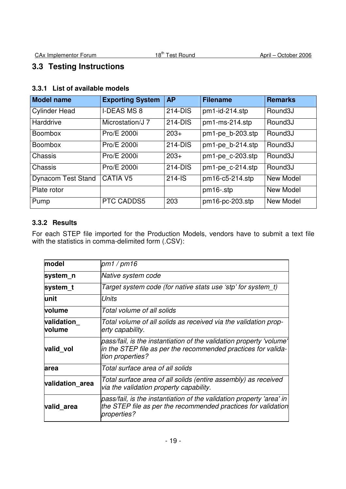# **3.3 Testing Instructions**

# **3.3.1 List of available models**

| <b>Model name</b>         | <b>Exporting System</b> | <b>AP</b>  | <b>Filename</b>     | <b>Remarks</b>       |
|---------------------------|-------------------------|------------|---------------------|----------------------|
| <b>Cylinder Head</b>      | <b>I-DEAS MS 8</b>      | 214-DIS    | pm1-id-214.stp      | Round <sub>3</sub> J |
| Harddrive                 | Microstation/J 7        | 214-DIS    | pm1-ms-214.stp      | Round <sub>3</sub> J |
| <b>Boombox</b>            | Pro/E 2000i             | $203+$     | pm1-pe_b-203.stp    | Round <sub>3</sub> J |
| <b>Boombox</b>            | Pro/E 2000i             | 214-DIS    | pm1-pe b-214.stp    | Round <sub>3</sub> J |
| Chassis                   | Pro/E 2000i             | $203+$     | pm1-pe c-203.stp    | Round <sub>3</sub> J |
| Chassis                   | Pro/E 2000i             | 214-DIS    | $pm1$ -pe c-214.stp | Round <sub>3</sub> J |
| <b>Dynacom Test Stand</b> | <b>CATIA V5</b>         | $214 - IS$ | pm16-c5-214.stp     | New Model            |
| Plate rotor               |                         |            | pm16-.stp           | New Model            |
| Pump                      | PTC CADDS5              | 203        | pm16-pc-203.stp     | New Model            |

### **3.3.2 Results**

For each STEP file imported for the Production Models, vendors have to submit a text file with the statistics in comma-delimited form (.CSV):

| model                | pm1 / pm16                                                                                                                                                  |  |  |  |  |
|----------------------|-------------------------------------------------------------------------------------------------------------------------------------------------------------|--|--|--|--|
| system n             | Native system code                                                                                                                                          |  |  |  |  |
| system t             | Target system code (for native stats use 'stp' for system_t)                                                                                                |  |  |  |  |
| lunit                | Units                                                                                                                                                       |  |  |  |  |
| volume               | Total volume of all solids                                                                                                                                  |  |  |  |  |
| validation<br>volume | Total volume of all solids as received via the validation prop-<br>erty capability.                                                                         |  |  |  |  |
| valid vol            | pass/fail, is the instantiation of the validation property 'volume'<br>in the STEP file as per the recommended practices for valida-<br>tion properties?    |  |  |  |  |
| area                 | Total surface area of all solids                                                                                                                            |  |  |  |  |
| validation area      | Total surface area of all solids (entire assembly) as received<br>via the validation property capability.                                                   |  |  |  |  |
| valid area           | pass/fail, is the instantiation of the validation property 'area' in<br>the STEP file as per the recommended practices for validation<br><i>properties?</i> |  |  |  |  |